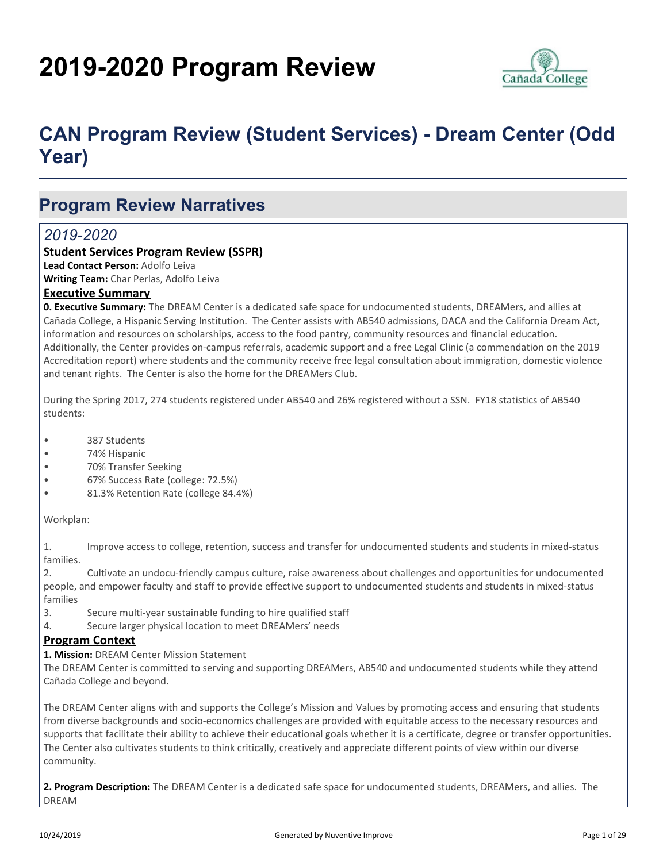# **2019-2020 Program Review**



## **CAN Program Review (Student Services) - Dream Center (Odd Year)**

### **Program Review Narratives**

### *2019-2020*

#### **Student Services Program Review (SSPR)**

**Lead Contact Person:** Adolfo Leiva **Writing Team:** Char Perlas, Adolfo Leiva

#### **Executive Summary**

**0. Executive Summary:** The DREAM Center is a dedicated safe space for undocumented students, DREAMers, and allies at Cañada College, a Hispanic Serving Institution. The Center assists with AB540 admissions, DACA and the California Dream Act, information and resources on scholarships, access to the food pantry, community resources and financial education. Additionally, the Center provides on-campus referrals, academic support and a free Legal Clinic (a commendation on the 2019 Accreditation report) where students and the community receive free legal consultation about immigration, domestic violence and tenant rights. The Center is also the home for the DREAMers Club.

During the Spring 2017, 274 students registered under AB540 and 26% registered without a SSN. FY18 statistics of AB540 students:

- 387 Students
- 74% Hispanic
- 70% Transfer Seeking
- 67% Success Rate (college: 72.5%)
- 81.3% Retention Rate (college 84.4%)

#### Workplan:

1. Improve access to college, retention, success and transfer for undocumented students and students in mixed-status families.

2. Cultivate an undocu-friendly campus culture, raise awareness about challenges and opportunities for undocumented people, and empower faculty and staff to provide effective support to undocumented students and students in mixed-status families

- 3. Secure multi-year sustainable funding to hire qualified staff
- 4. Secure larger physical location to meet DREAMers' needs

#### **Program Context**

**1. Mission:** DREAM Center Mission Statement

The DREAM Center is committed to serving and supporting DREAMers, AB540 and undocumented students while they attend Cañada College and beyond.

The DREAM Center aligns with and supports the College's Mission and Values by promoting access and ensuring that students from diverse backgrounds and socio-economics challenges are provided with equitable access to the necessary resources and supports that facilitate their ability to achieve their educational goals whether it is a certificate, degree or transfer opportunities. The Center also cultivates students to think critically, creatively and appreciate different points of view within our diverse community.

**2. Program Description:** The DREAM Center is a dedicated safe space for undocumented students, DREAMers, and allies. The DREAM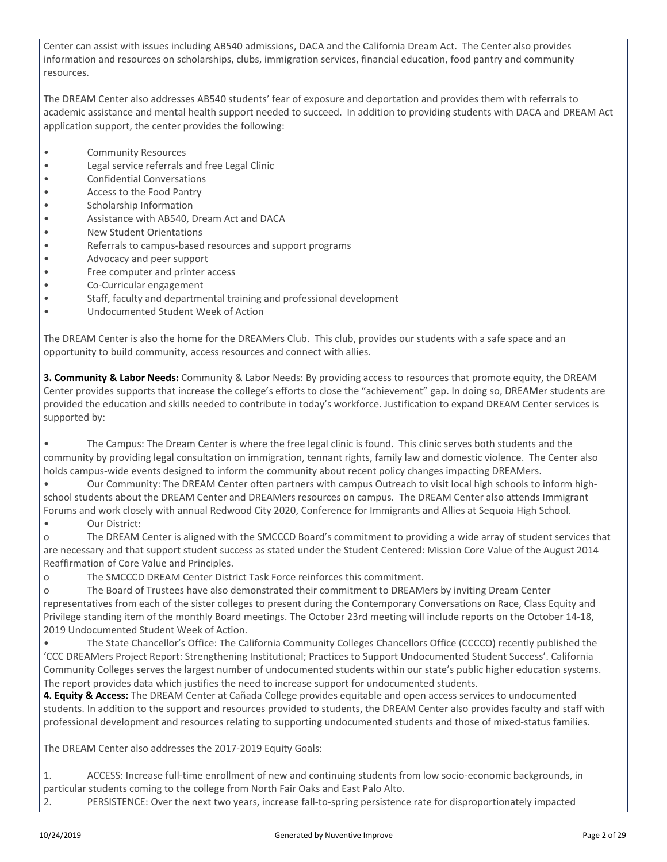Center can assist with issues including AB540 admissions, DACA and the California Dream Act. The Center also provides information and resources on scholarships, clubs, immigration services, financial education, food pantry and community resources.

The DREAM Center also addresses AB540 students' fear of exposure and deportation and provides them with referrals to academic assistance and mental health support needed to succeed. In addition to providing students with DACA and DREAM Act application support, the center provides the following:

- Community Resources
- Legal service referrals and free Legal Clinic
- Confidential Conversations
- Access to the Food Pantry
- Scholarship Information
- Assistance with AB540, Dream Act and DACA
- New Student Orientations
- Referrals to campus-based resources and support programs
- Advocacy and peer support
- Free computer and printer access
- Co-Curricular engagement
- Staff, faculty and departmental training and professional development
- Undocumented Student Week of Action

The DREAM Center is also the home for the DREAMers Club. This club, provides our students with a safe space and an opportunity to build community, access resources and connect with allies.

**3. Community & Labor Needs:** Community & Labor Needs: By providing access to resources that promote equity, the DREAM Center provides supports that increase the college's efforts to close the "achievement" gap. In doing so, DREAMer students are provided the education and skills needed to contribute in today's workforce. Justification to expand DREAM Center services is supported by:

• The Campus: The Dream Center is where the free legal clinic is found. This clinic serves both students and the community by providing legal consultation on immigration, tennant rights, family law and domestic violence. The Center also holds campus-wide events designed to inform the community about recent policy changes impacting DREAMers.

• Our Community: The DREAM Center often partners with campus Outreach to visit local high schools to inform highschool students about the DREAM Center and DREAMers resources on campus. The DREAM Center also attends Immigrant Forums and work closely with annual Redwood City 2020, Conference for Immigrants and Allies at Sequoia High School.

#### • Our District:

o The DREAM Center is aligned with the SMCCCD Board's commitment to providing a wide array of student services that are necessary and that support student success as stated under the Student Centered: Mission Core Value of the August 2014 Reaffirmation of Core Value and Principles.

o The SMCCCD DREAM Center District Task Force reinforces this commitment.

o The Board of Trustees have also demonstrated their commitment to DREAMers by inviting Dream Center representatives from each of the sister colleges to present during the Contemporary Conversations on Race, Class Equity and Privilege standing item of the monthly Board meetings. The October 23rd meeting will include reports on the October 14-18, 2019 Undocumented Student Week of Action.

• The State Chancellor's Office: The California Community Colleges Chancellors Office (CCCCO) recently published the 'CCC DREAMers Project Report: Strengthening Institutional; Practices to Support Undocumented Student Success'. California Community Colleges serves the largest number of undocumented students within our state's public higher education systems. The report provides data which justifies the need to increase support for undocumented students.

**4. Equity & Access:** The DREAM Center at Cañada College provides equitable and open access services to undocumented students. In addition to the support and resources provided to students, the DREAM Center also provides faculty and staff with professional development and resources relating to supporting undocumented students and those of mixed-status families.

The DREAM Center also addresses the 2017-2019 Equity Goals:

1. ACCESS: Increase full-time enrollment of new and continuing students from low socio-economic backgrounds, in particular students coming to the college from North Fair Oaks and East Palo Alto.

2. PERSISTENCE: Over the next two years, increase fall-to-spring persistence rate for disproportionately impacted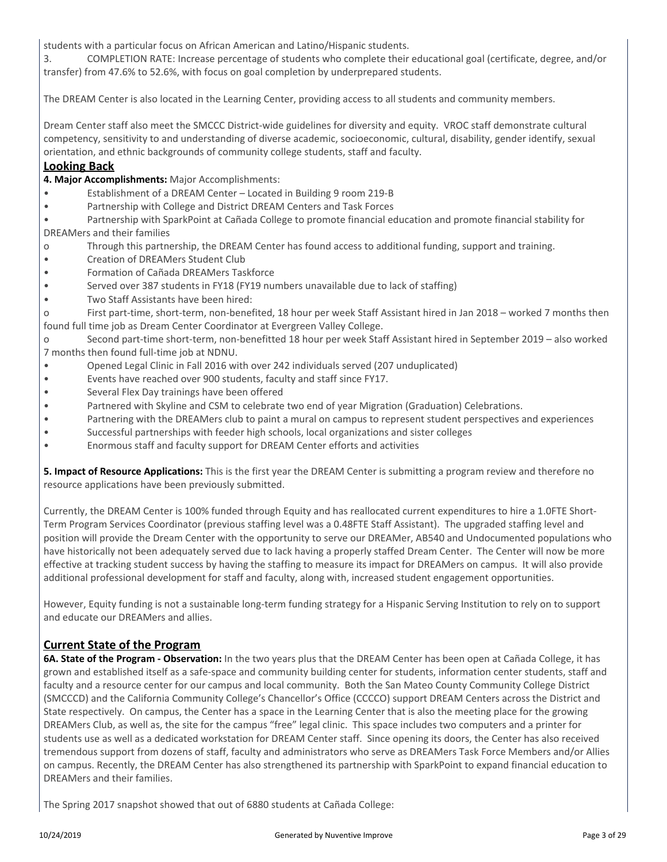students with a particular focus on African American and Latino/Hispanic students.

3. COMPLETION RATE: Increase percentage of students who complete their educational goal (certificate, degree, and/or transfer) from 47.6% to 52.6%, with focus on goal completion by underprepared students.

The DREAM Center is also located in the Learning Center, providing access to all students and community members.

Dream Center staff also meet the SMCCC District-wide guidelines for diversity and equity. VROC staff demonstrate cultural competency, sensitivity to and understanding of diverse academic, socioeconomic, cultural, disability, gender identify, sexual orientation, and ethnic backgrounds of community college students, staff and faculty.

#### **Looking Back**

- **4. Major Accomplishments:** Major Accomplishments:
- Establishment of a DREAM Center Located in Building 9 room 219-B
- Partnership with College and District DREAM Centers and Task Forces

• Partnership with SparkPoint at Cañada College to promote financial education and promote financial stability for DREAMers and their families

- o Through this partnership, the DREAM Center has found access to additional funding, support and training.
- Creation of DREAMers Student Club
- Formation of Cañada DREAMers Taskforce
- Served over 387 students in FY18 (FY19 numbers unavailable due to lack of staffing)
- Two Staff Assistants have been hired:

o First part-time, short-term, non-benefited, 18 hour per week Staff Assistant hired in Jan 2018 – worked 7 months then found full time job as Dream Center Coordinator at Evergreen Valley College.

o Second part-time short-term, non-benefitted 18 hour per week Staff Assistant hired in September 2019 – also worked 7 months then found full-time job at NDNU.

- Opened Legal Clinic in Fall 2016 with over 242 individuals served (207 unduplicated)
- Events have reached over 900 students, faculty and staff since FY17.
- Several Flex Day trainings have been offered
- Partnered with Skyline and CSM to celebrate two end of year Migration (Graduation) Celebrations.
- Partnering with the DREAMers club to paint a mural on campus to represent student perspectives and experiences
- Successful partnerships with feeder high schools, local organizations and sister colleges
- Enormous staff and faculty support for DREAM Center efforts and activities

**5. Impact of Resource Applications:** This is the first year the DREAM Center is submitting a program review and therefore no resource applications have been previously submitted.

Currently, the DREAM Center is 100% funded through Equity and has reallocated current expenditures to hire a 1.0FTE Short-Term Program Services Coordinator (previous staffing level was a 0.48FTE Staff Assistant). The upgraded staffing level and position will provide the Dream Center with the opportunity to serve our DREAMer, AB540 and Undocumented populations who have historically not been adequately served due to lack having a properly staffed Dream Center. The Center will now be more effective at tracking student success by having the staffing to measure its impact for DREAMers on campus. It will also provide additional professional development for staff and faculty, along with, increased student engagement opportunities.

However, Equity funding is not a sustainable long-term funding strategy for a Hispanic Serving Institution to rely on to support and educate our DREAMers and allies.

#### **Current State of the Program**

**6A. State of the Program - Observation:** In the two years plus that the DREAM Center has been open at Cañada College, it has grown and established itself as a safe-space and community building center for students, information center students, staff and faculty and a resource center for our campus and local community. Both the San Mateo County Community College District (SMCCCD) and the California Community College's Chancellor's Office (CCCCO) support DREAM Centers across the District and State respectively. On campus, the Center has a space in the Learning Center that is also the meeting place for the growing DREAMers Club, as well as, the site for the campus "free" legal clinic. This space includes two computers and a printer for students use as well as a dedicated workstation for DREAM Center staff. Since opening its doors, the Center has also received tremendous support from dozens of staff, faculty and administrators who serve as DREAMers Task Force Members and/or Allies on campus. Recently, the DREAM Center has also strengthened its partnership with SparkPoint to expand financial education to DREAMers and their families.

The Spring 2017 snapshot showed that out of 6880 students at Cañada College: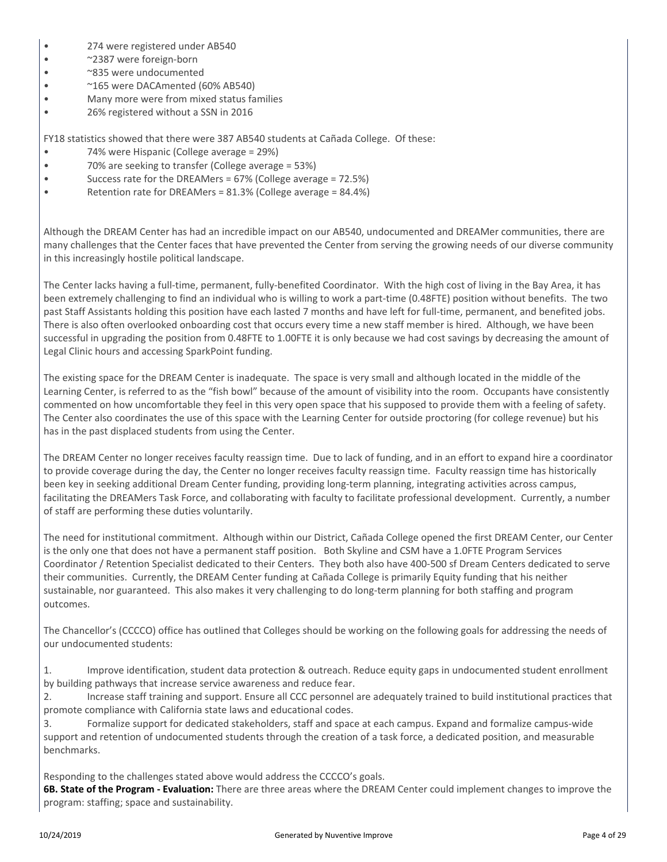- 274 were registered under AB540
- ~2387 were foreign-born
- ~835 were undocumented
- ~165 were DACAmented (60% AB540)
- Many more were from mixed status families
- 26% registered without a SSN in 2016

FY18 statistics showed that there were 387 AB540 students at Cañada College. Of these:

- 74% were Hispanic (College average = 29%)
- 70% are seeking to transfer (College average = 53%)
- Success rate for the DREAMers = 67% (College average = 72.5%)
- Retention rate for DREAMers = 81.3% (College average = 84.4%)

Although the DREAM Center has had an incredible impact on our AB540, undocumented and DREAMer communities, there are many challenges that the Center faces that have prevented the Center from serving the growing needs of our diverse community in this increasingly hostile political landscape.

The Center lacks having a full-time, permanent, fully-benefited Coordinator. With the high cost of living in the Bay Area, it has been extremely challenging to find an individual who is willing to work a part-time (0.48FTE) position without benefits. The two past Staff Assistants holding this position have each lasted 7 months and have left for full-time, permanent, and benefited jobs. There is also often overlooked onboarding cost that occurs every time a new staff member is hired. Although, we have been successful in upgrading the position from 0.48FTE to 1.00FTE it is only because we had cost savings by decreasing the amount of Legal Clinic hours and accessing SparkPoint funding.

The existing space for the DREAM Center is inadequate. The space is very small and although located in the middle of the Learning Center, is referred to as the "fish bowl" because of the amount of visibility into the room. Occupants have consistently commented on how uncomfortable they feel in this very open space that his supposed to provide them with a feeling of safety. The Center also coordinates the use of this space with the Learning Center for outside proctoring (for college revenue) but his has in the past displaced students from using the Center.

The DREAM Center no longer receives faculty reassign time. Due to lack of funding, and in an effort to expand hire a coordinator to provide coverage during the day, the Center no longer receives faculty reassign time. Faculty reassign time has historically been key in seeking additional Dream Center funding, providing long-term planning, integrating activities across campus, facilitating the DREAMers Task Force, and collaborating with faculty to facilitate professional development. Currently, a number of staff are performing these duties voluntarily.

The need for institutional commitment. Although within our District, Cañada College opened the first DREAM Center, our Center is the only one that does not have a permanent staff position. Both Skyline and CSM have a 1.0FTE Program Services Coordinator / Retention Specialist dedicated to their Centers. They both also have 400-500 sf Dream Centers dedicated to serve their communities. Currently, the DREAM Center funding at Cañada College is primarily Equity funding that his neither sustainable, nor guaranteed. This also makes it very challenging to do long-term planning for both staffing and program outcomes.

The Chancellor's (CCCCO) office has outlined that Colleges should be working on the following goals for addressing the needs of our undocumented students:

1. Improve identification, student data protection & outreach. Reduce equity gaps in undocumented student enrollment by building pathways that increase service awareness and reduce fear.

2. Increase staff training and support. Ensure all CCC personnel are adequately trained to build institutional practices that promote compliance with California state laws and educational codes.

3. Formalize support for dedicated stakeholders, staff and space at each campus. Expand and formalize campus-wide support and retention of undocumented students through the creation of a task force, a dedicated position, and measurable benchmarks.

Responding to the challenges stated above would address the CCCCO's goals.

**6B. State of the Program - Evaluation:** There are three areas where the DREAM Center could implement changes to improve the program: staffing; space and sustainability.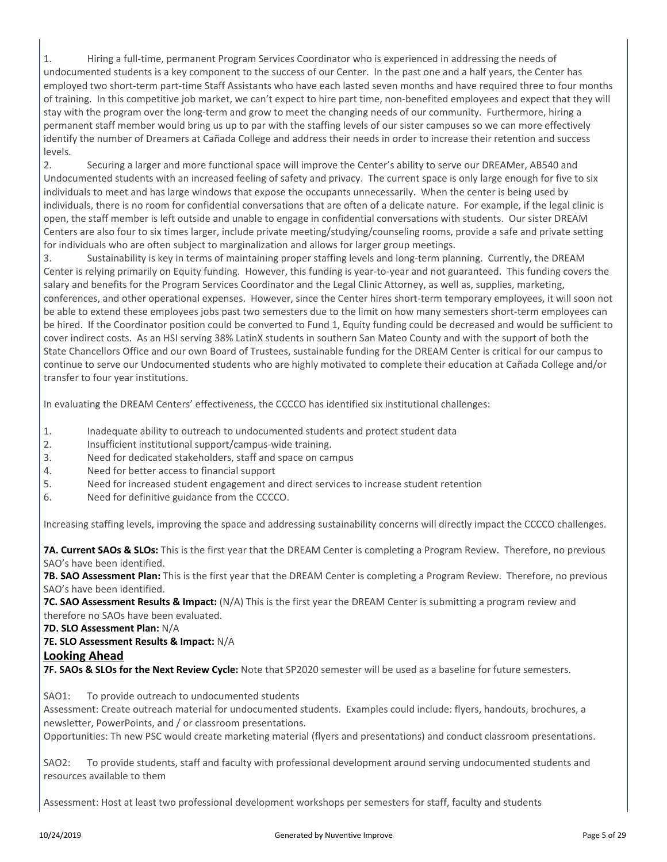1. Hiring a full-time, permanent Program Services Coordinator who is experienced in addressing the needs of undocumented students is a key component to the success of our Center. In the past one and a half years, the Center has employed two short-term part-time Staff Assistants who have each lasted seven months and have required three to four months of training. In this competitive job market, we can't expect to hire part time, non-benefited employees and expect that they will stay with the program over the long-term and grow to meet the changing needs of our community. Furthermore, hiring a permanent staff member would bring us up to par with the staffing levels of our sister campuses so we can more effectively identify the number of Dreamers at Cañada College and address their needs in order to increase their retention and success levels.

2. Securing a larger and more functional space will improve the Center's ability to serve our DREAMer, AB540 and Undocumented students with an increased feeling of safety and privacy. The current space is only large enough for five to six individuals to meet and has large windows that expose the occupants unnecessarily. When the center is being used by individuals, there is no room for confidential conversations that are often of a delicate nature. For example, if the legal clinic is open, the staff member is left outside and unable to engage in confidential conversations with students. Our sister DREAM Centers are also four to six times larger, include private meeting/studying/counseling rooms, provide a safe and private setting for individuals who are often subject to marginalization and allows for larger group meetings.

3. Sustainability is key in terms of maintaining proper staffing levels and long-term planning. Currently, the DREAM Center is relying primarily on Equity funding. However, this funding is year-to-year and not guaranteed. This funding covers the salary and benefits for the Program Services Coordinator and the Legal Clinic Attorney, as well as, supplies, marketing, conferences, and other operational expenses. However, since the Center hires short-term temporary employees, it will soon not be able to extend these employees jobs past two semesters due to the limit on how many semesters short-term employees can be hired. If the Coordinator position could be converted to Fund 1, Equity funding could be decreased and would be sufficient to cover indirect costs. As an HSI serving 38% LatinX students in southern San Mateo County and with the support of both the State Chancellors Office and our own Board of Trustees, sustainable funding for the DREAM Center is critical for our campus to continue to serve our Undocumented students who are highly motivated to complete their education at Cañada College and/or transfer to four year institutions.

In evaluating the DREAM Centers' effectiveness, the CCCCO has identified six institutional challenges:

- 1. Inadequate ability to outreach to undocumented students and protect student data
- 2. Insufficient institutional support/campus-wide training.
- 3. Need for dedicated stakeholders, staff and space on campus
- 4. Need for better access to financial support
- 5. Need for increased student engagement and direct services to increase student retention
- 6. Need for definitive guidance from the CCCCO.

Increasing staffing levels, improving the space and addressing sustainability concerns will directly impact the CCCCO challenges.

**7A. Current SAOs & SLOs:** This is the first year that the DREAM Center is completing a Program Review. Therefore, no previous SAO's have been identified.

**7B. SAO Assessment Plan:** This is the first year that the DREAM Center is completing a Program Review. Therefore, no previous SAO's have been identified.

**7C. SAO Assessment Results & Impact:** (N/A) This is the first year the DREAM Center is submitting a program review and therefore no SAOs have been evaluated.

#### **7D. SLO Assessment Plan:** N/A

#### **7E. SLO Assessment Results & Impact:** N/A

#### **Looking Ahead**

**7F. SAOs & SLOs for the Next Review Cycle:** Note that SP2020 semester will be used as a baseline for future semesters.

SAO1: To provide outreach to undocumented students

Assessment: Create outreach material for undocumented students. Examples could include: flyers, handouts, brochures, a newsletter, PowerPoints, and / or classroom presentations.

Opportunities: Th new PSC would create marketing material (flyers and presentations) and conduct classroom presentations.

SAO2: To provide students, staff and faculty with professional development around serving undocumented students and resources available to them

Assessment: Host at least two professional development workshops per semesters for staff, faculty and students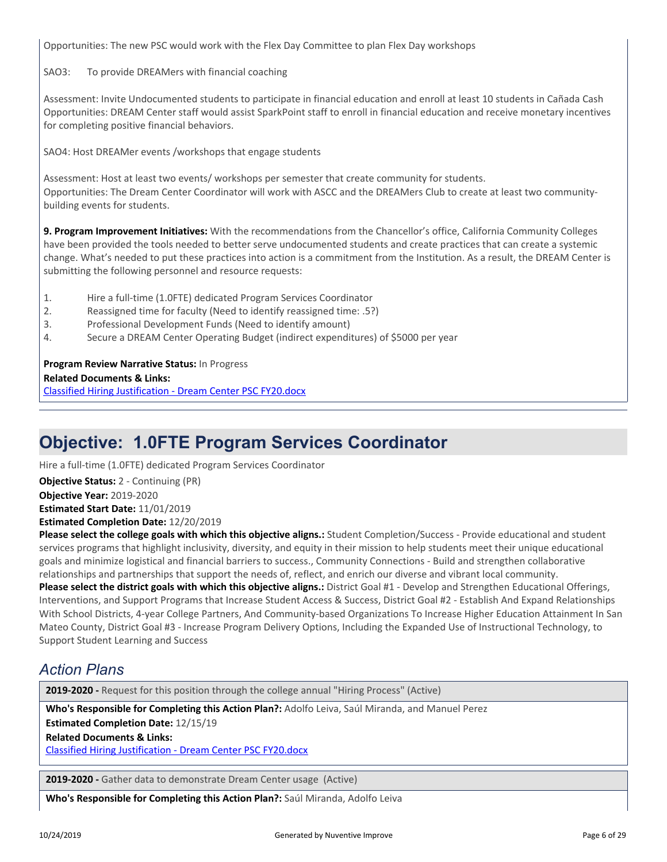Opportunities: The new PSC would work with the Flex Day Committee to plan Flex Day workshops

#### SAO3: To provide DREAMers with financial coaching

Assessment: Invite Undocumented students to participate in financial education and enroll at least 10 students in Cañada Cash Opportunities: DREAM Center staff would assist SparkPoint staff to enroll in financial education and receive monetary incentives for completing positive financial behaviors.

SAO4: Host DREAMer events /workshops that engage students

Assessment: Host at least two events/ workshops per semester that create community for students. Opportunities: The Dream Center Coordinator will work with ASCC and the DREAMers Club to create at least two communitybuilding events for students.

**9. Program Improvement Initiatives:** With the recommendations from the Chancellor's office, California Community Colleges have been provided the tools needed to better serve undocumented students and create practices that can create a systemic change. What's needed to put these practices into action is a commitment from the Institution. As a result, the DREAM Center is submitting the following personnel and resource requests:

1. Hire a full-time (1.0FTE) dedicated Program Services Coordinator

- 2. Reassigned time for faculty (Need to identify reassigned time: .5?)
- 3. Professional Development Funds (Need to identify amount)
- 4. Secure a DREAM Center Operating Budget (indirect expenditures) of \$5000 per year

**Program Review Narrative Status:** In Progress

**Related Documents & Links:**

[Classified Hiring Justification - Dream Center PSC FY20.docx](https://sanmateo.tracdat.com:443/tracdat/viewDocument?y=2BT6HLFgOORd)

### **Objective: 1.0FTE Program Services Coordinator**

Hire a full-time (1.0FTE) dedicated Program Services Coordinator

**Objective Year:** 2019-2020 **Estimated Start Date:** 11/01/2019 **Objective Status:** 2 - Continuing (PR)

**Estimated Completion Date:** 12/20/2019

**Please select the college goals with which this objective aligns.:** Student Completion/Success - Provide educational and student services programs that highlight inclusivity, diversity, and equity in their mission to help students meet their unique educational goals and minimize logistical and financial barriers to success., Community Connections - Build and strengthen collaborative relationships and partnerships that support the needs of, reflect, and enrich our diverse and vibrant local community.

**Please select the district goals with which this objective aligns.:** District Goal #1 - Develop and Strengthen Educational Offerings, Interventions, and Support Programs that Increase Student Access & Success, District Goal #2 - Establish And Expand Relationships With School Districts, 4-year College Partners, And Community-based Organizations To Increase Higher Education Attainment In San Mateo County, District Goal #3 - Increase Program Delivery Options, Including the Expanded Use of Instructional Technology, to Support Student Learning and Success

### *Action Plans*

**2019-2020 -** Request for this position through the college annual "Hiring Process" (Active)

**Related Documents & Links: Who's Responsible for Completing this Action Plan?:** Adolfo Leiva, Saúl Miranda, and Manuel Perez **Estimated Completion Date:** 12/15/19

[Classified Hiring Justification - Dream Center PSC FY20.docx](https://sanmateo.tracdat.com:443/tracdat/viewDocument?y=2BT6HLFgOORd)

**2019-2020 -** Gather data to demonstrate Dream Center usage (Active)

**Who's Responsible for Completing this Action Plan?:** Saúl Miranda, Adolfo Leiva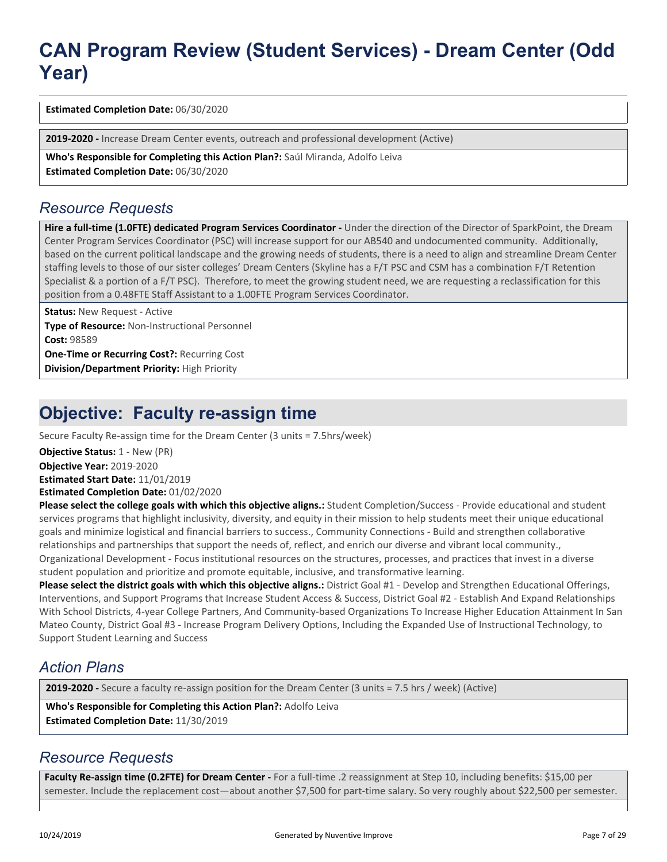## **CAN Program Review (Student Services) - Dream Center (Odd Year)**

**Estimated Completion Date:** 06/30/2020

**2019-2020 -** Increase Dream Center events, outreach and professional development (Active)

**Who's Responsible for Completing this Action Plan?:** Saúl Miranda, Adolfo Leiva **Estimated Completion Date:** 06/30/2020

#### *Resource Requests*

Hire a full-time (1.0FTE) dedicated Program Services Coordinator - Under the direction of the Director of SparkPoint, the Dream Center Program Services Coordinator (PSC) will increase support for our AB540 and undocumented community. Additionally, based on the current political landscape and the growing needs of students, there is a need to align and streamline Dream Center staffing levels to those of our sister colleges' Dream Centers (Skyline has a F/T PSC and CSM has a combination F/T Retention Specialist & a portion of a F/T PSC). Therefore, to meet the growing student need, we are requesting a reclassification for this position from a 0.48FTE Staff Assistant to a 1.00FTE Program Services Coordinator.

**Status: New Request - Active** 

**Type of Resource:** Non-Instructional Personnel **Cost:** 98589 **One-Time or Recurring Cost?:** Recurring Cost **Division/Department Priority:** High Priority

### **Objective: Faculty re-assign time**

Secure Faculty Re-assign time for the Dream Center (3 units = 7.5hrs/week)

**Objective Status: 1 - New (PR)** 

**Objective Year:** 2019-2020

**Estimated Start Date:** 11/01/2019

**Estimated Completion Date:** 01/02/2020

**Please select the college goals with which this objective aligns.:** Student Completion/Success - Provide educational and student services programs that highlight inclusivity, diversity, and equity in their mission to help students meet their unique educational goals and minimize logistical and financial barriers to success., Community Connections - Build and strengthen collaborative relationships and partnerships that support the needs of, reflect, and enrich our diverse and vibrant local community., Organizational Development - Focus institutional resources on the structures, processes, and practices that invest in a diverse student population and prioritize and promote equitable, inclusive, and transformative learning.

**Please select the district goals with which this objective aligns.:** District Goal #1 - Develop and Strengthen Educational Offerings, Interventions, and Support Programs that Increase Student Access & Success, District Goal #2 - Establish And Expand Relationships With School Districts, 4-year College Partners, And Community-based Organizations To Increase Higher Education Attainment In San Mateo County, District Goal #3 - Increase Program Delivery Options, Including the Expanded Use of Instructional Technology, to Support Student Learning and Success

### *Action Plans*

**2019-2020 -** Secure a faculty re-assign position for the Dream Center (3 units = 7.5 hrs / week) (Active)

**Who's Responsible for Completing this Action Plan?:** Adolfo Leiva **Estimated Completion Date:** 11/30/2019

### *Resource Requests*

**Faculty Re-assign time (0.2FTE) for Dream Center -** For a full-time .2 reassignment at Step 10, including benefits: \$15,00 per semester. Include the replacement cost—about another \$7,500 for part-time salary. So very roughly about \$22,500 per semester.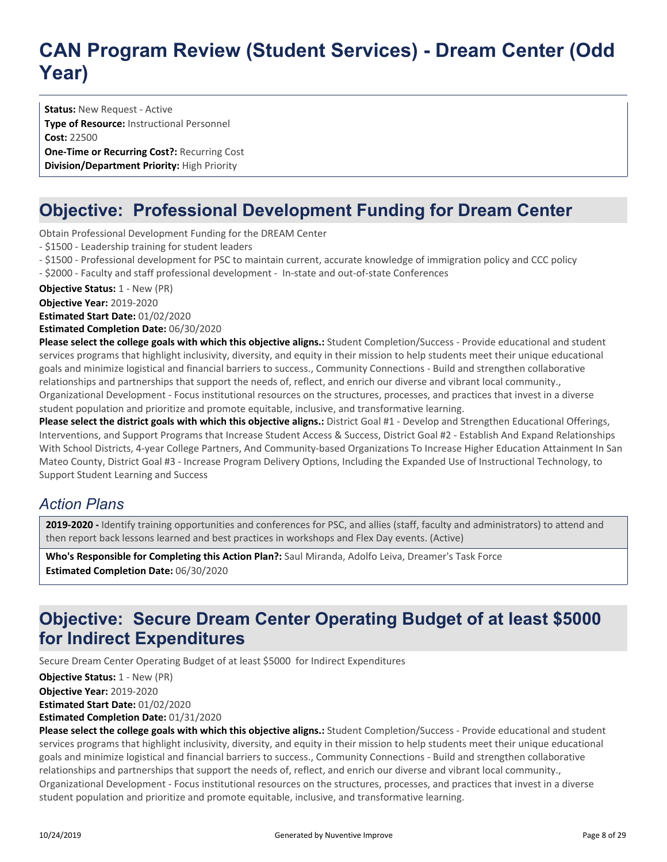## **CAN Program Review (Student Services) - Dream Center (Odd Year)**

**Status: New Request - Active Type of Resource:** Instructional Personnel **Cost:** 22500 **One-Time or Recurring Cost?:** Recurring Cost **Division/Department Priority:** High Priority

### **Objective: Professional Development Funding for Dream Center**

Obtain Professional Development Funding for the DREAM Center

- \$1500 - Leadership training for student leaders

- \$1500 - Professional development for PSC to maintain current, accurate knowledge of immigration policy and CCC policy

- \$2000 - Faculty and staff professional development - In-state and out-of-state Conferences

**Objective Status:** 1 - New (PR)

**Objective Year:** 2019-2020

**Estimated Start Date:** 01/02/2020

**Estimated Completion Date:** 06/30/2020

**Please select the college goals with which this objective aligns.:** Student Completion/Success - Provide educational and student services programs that highlight inclusivity, diversity, and equity in their mission to help students meet their unique educational goals and minimize logistical and financial barriers to success., Community Connections - Build and strengthen collaborative relationships and partnerships that support the needs of, reflect, and enrich our diverse and vibrant local community., Organizational Development - Focus institutional resources on the structures, processes, and practices that invest in a diverse student population and prioritize and promote equitable, inclusive, and transformative learning.

**Please select the district goals with which this objective aligns.:** District Goal #1 - Develop and Strengthen Educational Offerings, Interventions, and Support Programs that Increase Student Access & Success, District Goal #2 - Establish And Expand Relationships With School Districts, 4-year College Partners, And Community-based Organizations To Increase Higher Education Attainment In San Mateo County, District Goal #3 - Increase Program Delivery Options, Including the Expanded Use of Instructional Technology, to Support Student Learning and Success

### *Action Plans*

**2019-2020 -** Identify training opportunities and conferences for PSC, and allies (staff, faculty and administrators) to attend and then report back lessons learned and best practices in workshops and Flex Day events. (Active)

**Who's Responsible for Completing this Action Plan?:** Saul Miranda, Adolfo Leiva, Dreamer's Task Force **Estimated Completion Date:** 06/30/2020

### **Objective: Secure Dream Center Operating Budget of at least \$5000 for Indirect Expenditures**

Secure Dream Center Operating Budget of at least \$5000 for Indirect Expenditures

**Objective Year:** 2019-2020 **Estimated Start Date:** 01/02/2020 **Objective Status:** 1 - New (PR)

**Estimated Completion Date:** 01/31/2020

**Please select the college goals with which this objective aligns.:** Student Completion/Success - Provide educational and student services programs that highlight inclusivity, diversity, and equity in their mission to help students meet their unique educational goals and minimize logistical and financial barriers to success., Community Connections - Build and strengthen collaborative relationships and partnerships that support the needs of, reflect, and enrich our diverse and vibrant local community., Organizational Development - Focus institutional resources on the structures, processes, and practices that invest in a diverse student population and prioritize and promote equitable, inclusive, and transformative learning.